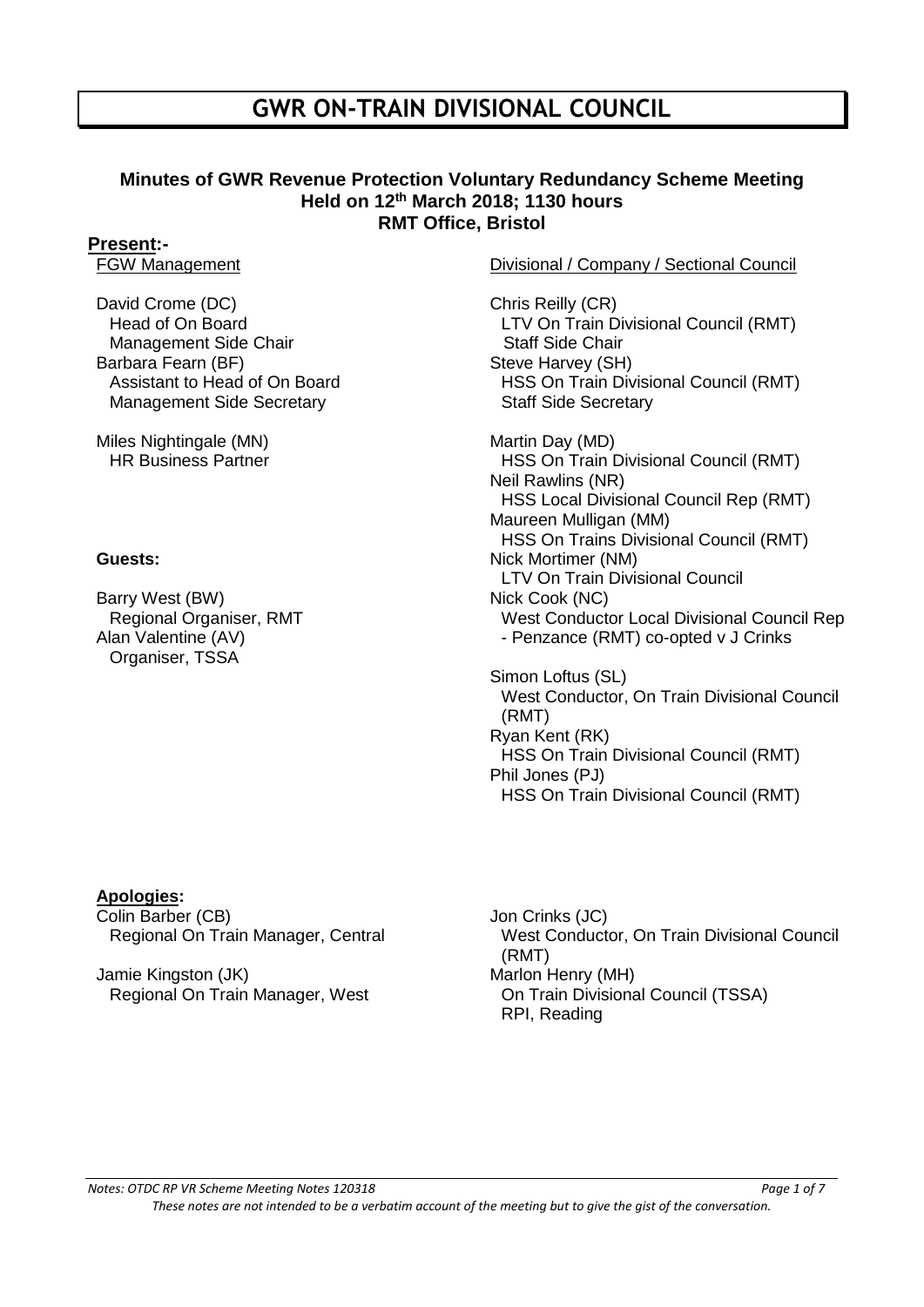## **GWR ON-TRAIN DIVISIONAL COUNCIL**

### **Minutes of GWR Revenue Protection Voluntary Redundancy Scheme Meeting Held on 12th March 2018; 1130 hours RMT Office, Bristol**

# **Present:-**<br>FGW Management

David Crome (DC) Head of On Board Management Side Chair Barbara Fearn (BF) Assistant to Head of On Board Management Side Secretary

Miles Nightingale (MN) HR Business Partner

Barry West (BW) Regional Organiser, RMT Alan Valentine (AV) Organiser, TSSA

### Divisional / Company / Sectional Council

Chris Reilly (CR) LTV On Train Divisional Council (RMT) Staff Side Chair Steve Harvey (SH) HSS On Train Divisional Council (RMT) Staff Side Secretary

Martin Day (MD) HSS On Train Divisional Council (RMT) Neil Rawlins (NR) HSS Local Divisional Council Rep (RMT) Maureen Mulligan (MM) HSS On Trains Divisional Council (RMT) **Guests: Nick Mortimer (NM)** LTV On Train Divisional Council Nick Cook (NC) West Conductor Local Divisional Council Rep - Penzance (RMT) co-opted v J Crinks

> Simon Loftus (SL) West Conductor, On Train Divisional Council (RMT) Ryan Kent (RK) HSS On Train Divisional Council (RMT) Phil Jones (PJ) HSS On Train Divisional Council (RMT)

### **Apologies:**

Colin Barber (CB) Regional On Train Manager, Central

Jamie Kingston (JK) Regional On Train Manager, West Jon Crinks (JC) West Conductor, On Train Divisional Council (RMT) Marlon Henry (MH) On Train Divisional Council (TSSA) RPI, Reading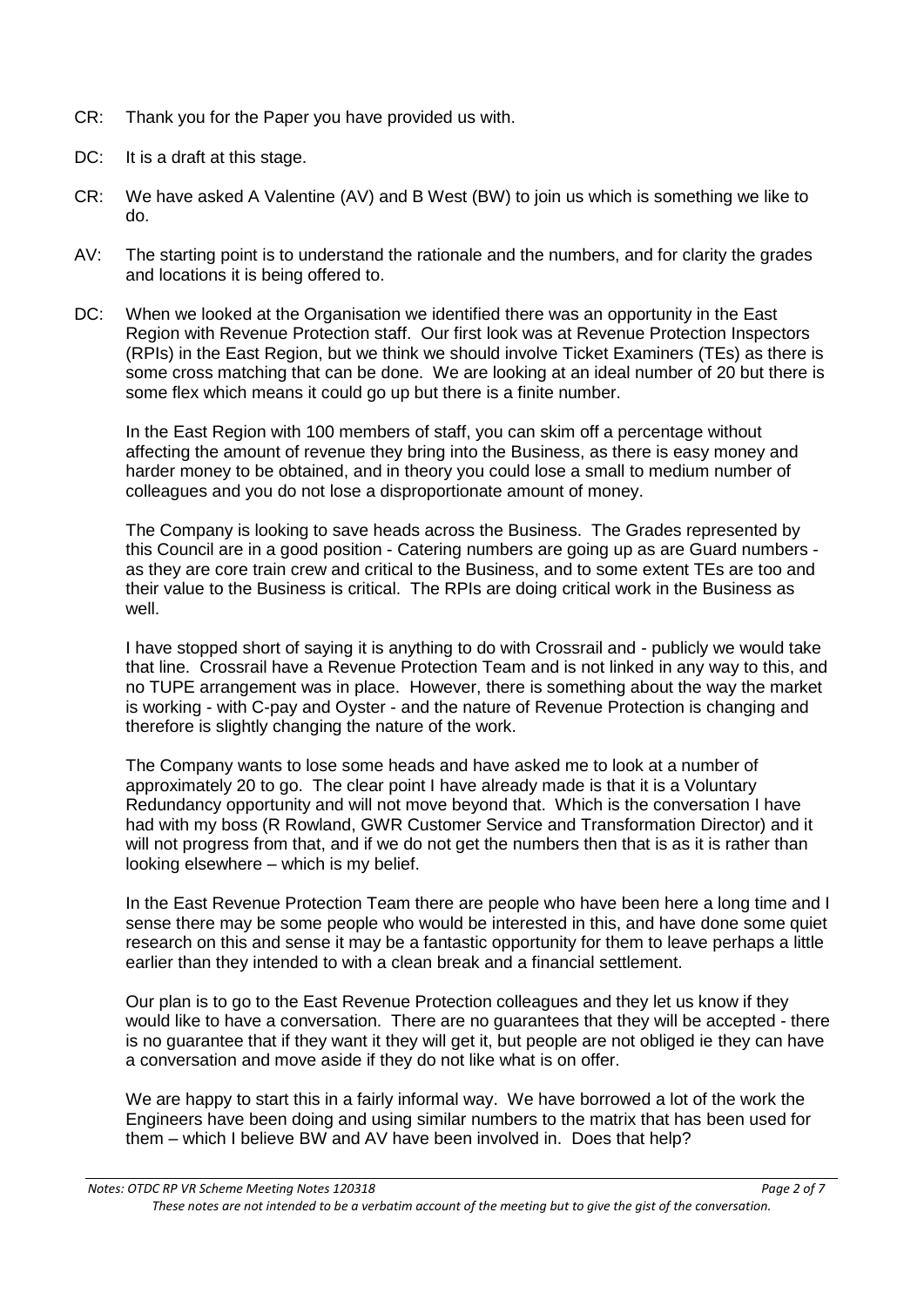- CR: Thank you for the Paper you have provided us with.
- DC: It is a draft at this stage.
- CR: We have asked A Valentine (AV) and B West (BW) to join us which is something we like to do.
- AV: The starting point is to understand the rationale and the numbers, and for clarity the grades and locations it is being offered to.
- DC: When we looked at the Organisation we identified there was an opportunity in the East Region with Revenue Protection staff. Our first look was at Revenue Protection Inspectors (RPIs) in the East Region, but we think we should involve Ticket Examiners (TEs) as there is some cross matching that can be done. We are looking at an ideal number of 20 but there is some flex which means it could go up but there is a finite number.

In the East Region with 100 members of staff, you can skim off a percentage without affecting the amount of revenue they bring into the Business, as there is easy money and harder money to be obtained, and in theory you could lose a small to medium number of colleagues and you do not lose a disproportionate amount of money.

The Company is looking to save heads across the Business. The Grades represented by this Council are in a good position - Catering numbers are going up as are Guard numbers as they are core train crew and critical to the Business, and to some extent TEs are too and their value to the Business is critical. The RPIs are doing critical work in the Business as well.

I have stopped short of saying it is anything to do with Crossrail and - publicly we would take that line. Crossrail have a Revenue Protection Team and is not linked in any way to this, and no TUPE arrangement was in place. However, there is something about the way the market is working - with C-pay and Oyster - and the nature of Revenue Protection is changing and therefore is slightly changing the nature of the work.

The Company wants to lose some heads and have asked me to look at a number of approximately 20 to go. The clear point I have already made is that it is a Voluntary Redundancy opportunity and will not move beyond that. Which is the conversation I have had with my boss (R Rowland, GWR Customer Service and Transformation Director) and it will not progress from that, and if we do not get the numbers then that is as it is rather than looking elsewhere – which is my belief.

In the East Revenue Protection Team there are people who have been here a long time and I sense there may be some people who would be interested in this, and have done some quiet research on this and sense it may be a fantastic opportunity for them to leave perhaps a little earlier than they intended to with a clean break and a financial settlement.

Our plan is to go to the East Revenue Protection colleagues and they let us know if they would like to have a conversation. There are no guarantees that they will be accepted - there is no guarantee that if they want it they will get it, but people are not obliged ie they can have a conversation and move aside if they do not like what is on offer.

We are happy to start this in a fairly informal way. We have borrowed a lot of the work the Engineers have been doing and using similar numbers to the matrix that has been used for them – which I believe BW and AV have been involved in. Does that help?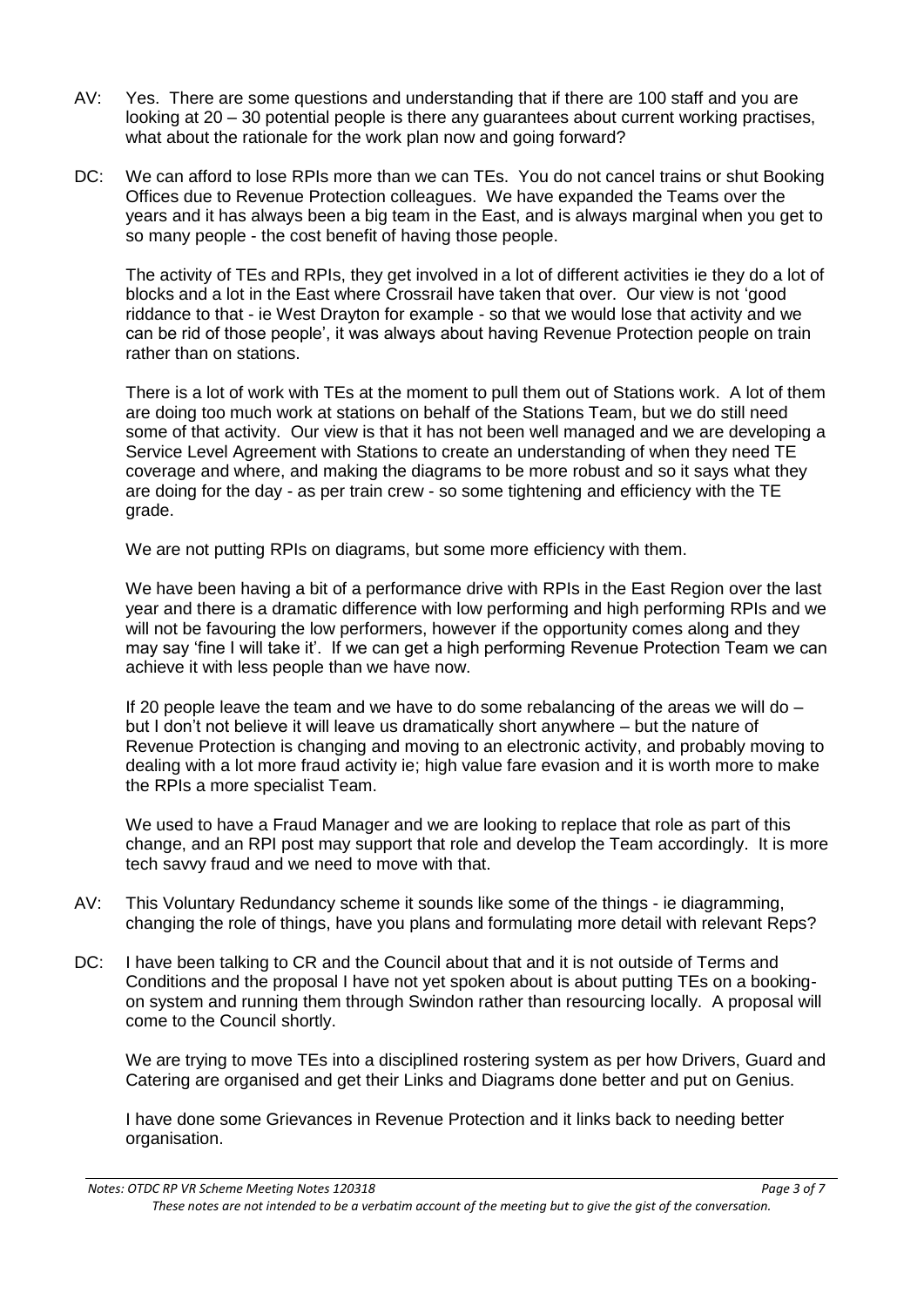- AV: Yes. There are some questions and understanding that if there are 100 staff and you are looking at 20 – 30 potential people is there any guarantees about current working practises, what about the rationale for the work plan now and going forward?
- DC: We can afford to lose RPIs more than we can TEs. You do not cancel trains or shut Booking Offices due to Revenue Protection colleagues. We have expanded the Teams over the years and it has always been a big team in the East, and is always marginal when you get to so many people - the cost benefit of having those people.

The activity of TEs and RPIs, they get involved in a lot of different activities ie they do a lot of blocks and a lot in the East where Crossrail have taken that over. Our view is not 'good riddance to that - ie West Drayton for example - so that we would lose that activity and we can be rid of those people', it was always about having Revenue Protection people on train rather than on stations.

There is a lot of work with TEs at the moment to pull them out of Stations work. A lot of them are doing too much work at stations on behalf of the Stations Team, but we do still need some of that activity. Our view is that it has not been well managed and we are developing a Service Level Agreement with Stations to create an understanding of when they need TE coverage and where, and making the diagrams to be more robust and so it says what they are doing for the day - as per train crew - so some tightening and efficiency with the TE grade.

We are not putting RPIs on diagrams, but some more efficiency with them.

We have been having a bit of a performance drive with RPIs in the East Region over the last year and there is a dramatic difference with low performing and high performing RPIs and we will not be favouring the low performers, however if the opportunity comes along and they may say 'fine I will take it'. If we can get a high performing Revenue Protection Team we can achieve it with less people than we have now.

If 20 people leave the team and we have to do some rebalancing of the areas we will do  $$ but I don't not believe it will leave us dramatically short anywhere – but the nature of Revenue Protection is changing and moving to an electronic activity, and probably moving to dealing with a lot more fraud activity ie; high value fare evasion and it is worth more to make the RPIs a more specialist Team.

We used to have a Fraud Manager and we are looking to replace that role as part of this change, and an RPI post may support that role and develop the Team accordingly. It is more tech savvy fraud and we need to move with that.

- AV: This Voluntary Redundancy scheme it sounds like some of the things ie diagramming, changing the role of things, have you plans and formulating more detail with relevant Reps?
- DC: I have been talking to CR and the Council about that and it is not outside of Terms and Conditions and the proposal I have not yet spoken about is about putting TEs on a bookingon system and running them through Swindon rather than resourcing locally. A proposal will come to the Council shortly.

We are trying to move TEs into a disciplined rostering system as per how Drivers, Guard and Catering are organised and get their Links and Diagrams done better and put on Genius.

I have done some Grievances in Revenue Protection and it links back to needing better organisation.

*Notes: OTDC RP VR Scheme Meeting Notes 120318 Page 3 of 7 These notes are not intended to be a verbatim account of the meeting but to give the gist of the conversation.*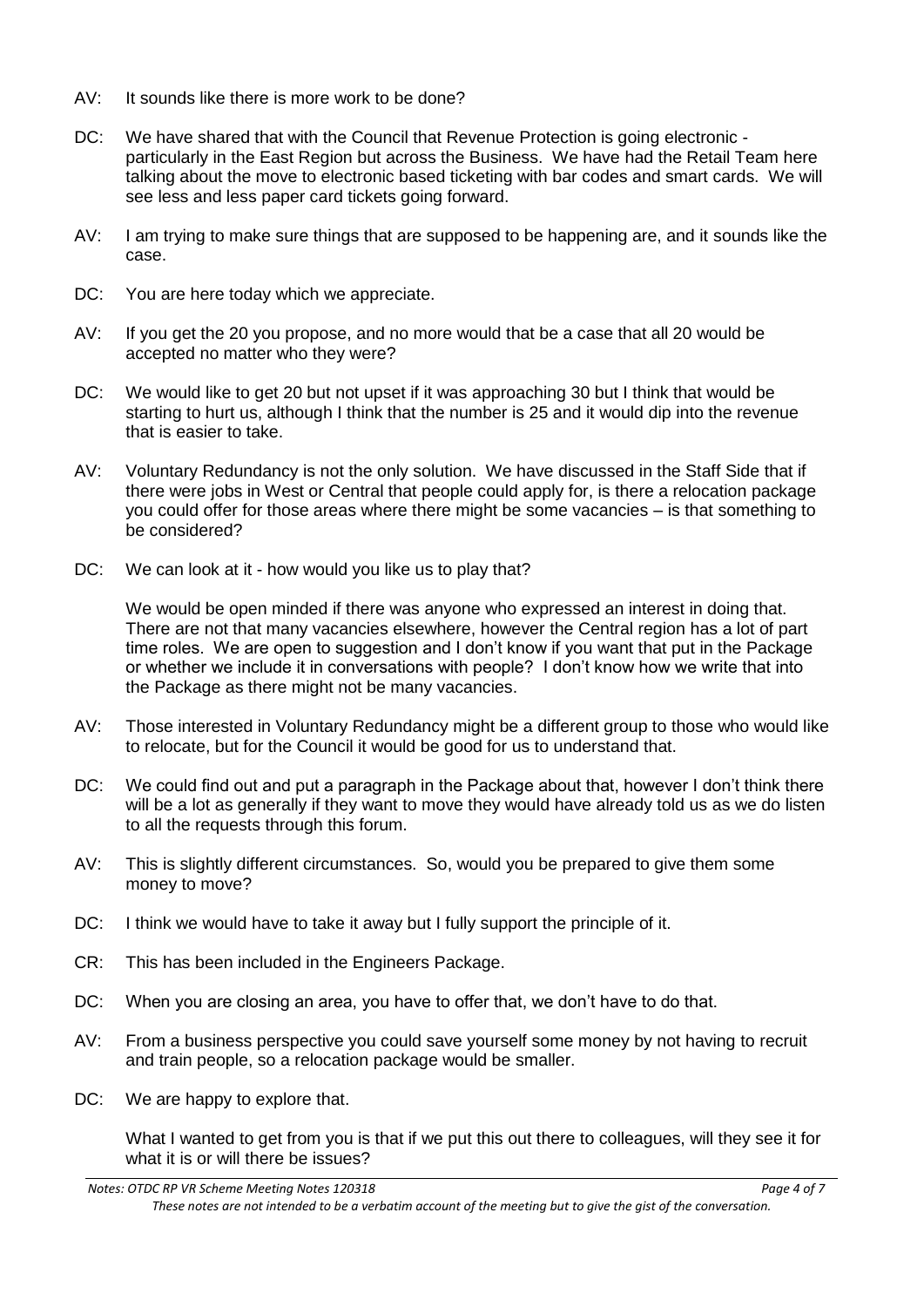- $AV:$  It sounds like there is more work to be done?
- DC: We have shared that with the Council that Revenue Protection is going electronic particularly in the East Region but across the Business. We have had the Retail Team here talking about the move to electronic based ticketing with bar codes and smart cards. We will see less and less paper card tickets going forward.
- AV: I am trying to make sure things that are supposed to be happening are, and it sounds like the case.
- DC: You are here today which we appreciate.
- AV: If you get the 20 you propose, and no more would that be a case that all 20 would be accepted no matter who they were?
- DC: We would like to get 20 but not upset if it was approaching 30 but I think that would be starting to hurt us, although I think that the number is 25 and it would dip into the revenue that is easier to take.
- AV: Voluntary Redundancy is not the only solution. We have discussed in the Staff Side that if there were jobs in West or Central that people could apply for, is there a relocation package you could offer for those areas where there might be some vacancies – is that something to be considered?
- DC: We can look at it how would you like us to play that?

We would be open minded if there was anyone who expressed an interest in doing that. There are not that many vacancies elsewhere, however the Central region has a lot of part time roles. We are open to suggestion and I don't know if you want that put in the Package or whether we include it in conversations with people? I don't know how we write that into the Package as there might not be many vacancies.

- AV: Those interested in Voluntary Redundancy might be a different group to those who would like to relocate, but for the Council it would be good for us to understand that.
- DC: We could find out and put a paragraph in the Package about that, however I don't think there will be a lot as generally if they want to move they would have already told us as we do listen to all the requests through this forum.
- AV: This is slightly different circumstances. So, would you be prepared to give them some money to move?
- DC: I think we would have to take it away but I fully support the principle of it.
- CR: This has been included in the Engineers Package.
- DC: When you are closing an area, you have to offer that, we don't have to do that.
- AV: From a business perspective you could save yourself some money by not having to recruit and train people, so a relocation package would be smaller.
- DC: We are happy to explore that.

What I wanted to get from you is that if we put this out there to colleagues, will they see it for what it is or will there be issues?

*Notes: OTDC RP VR Scheme Meeting Notes 120318 Page 4 of 7 These notes are not intended to be a verbatim account of the meeting but to give the gist of the conversation.*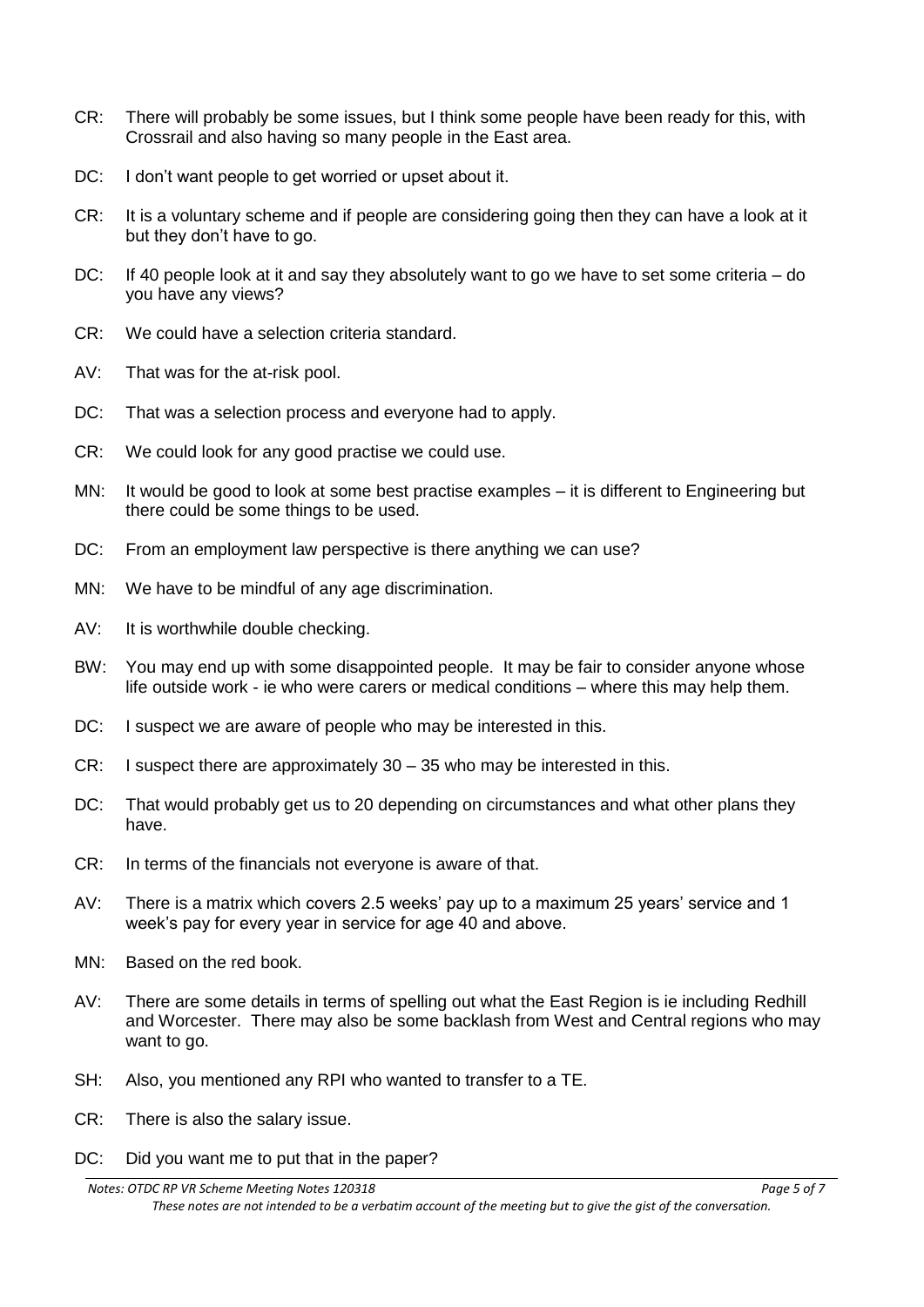- CR: There will probably be some issues, but I think some people have been ready for this, with Crossrail and also having so many people in the East area.
- DC: I don't want people to get worried or upset about it.
- CR: It is a voluntary scheme and if people are considering going then they can have a look at it but they don't have to go.
- DC: If 40 people look at it and say they absolutely want to go we have to set some criteria do you have any views?
- CR: We could have a selection criteria standard.
- AV: That was for the at-risk pool.
- DC: That was a selection process and everyone had to apply.
- CR: We could look for any good practise we could use.
- MN: It would be good to look at some best practise examples it is different to Engineering but there could be some things to be used.
- DC: From an employment law perspective is there anything we can use?
- MN: We have to be mindful of any age discrimination.
- AV: It is worthwhile double checking.
- BW: You may end up with some disappointed people. It may be fair to consider anyone whose life outside work - ie who were carers or medical conditions – where this may help them.
- DC: I suspect we are aware of people who may be interested in this.
- CR: I suspect there are approximately 30 35 who may be interested in this.
- DC: That would probably get us to 20 depending on circumstances and what other plans they have.
- CR: In terms of the financials not everyone is aware of that.
- AV: There is a matrix which covers 2.5 weeks' pay up to a maximum 25 years' service and 1 week's pay for every year in service for age 40 and above.
- MN: Based on the red book.
- AV: There are some details in terms of spelling out what the East Region is ie including Redhill and Worcester. There may also be some backlash from West and Central regions who may want to go.
- SH: Also, you mentioned any RPI who wanted to transfer to a TE.
- CR: There is also the salary issue.
- DC: Did you want me to put that in the paper?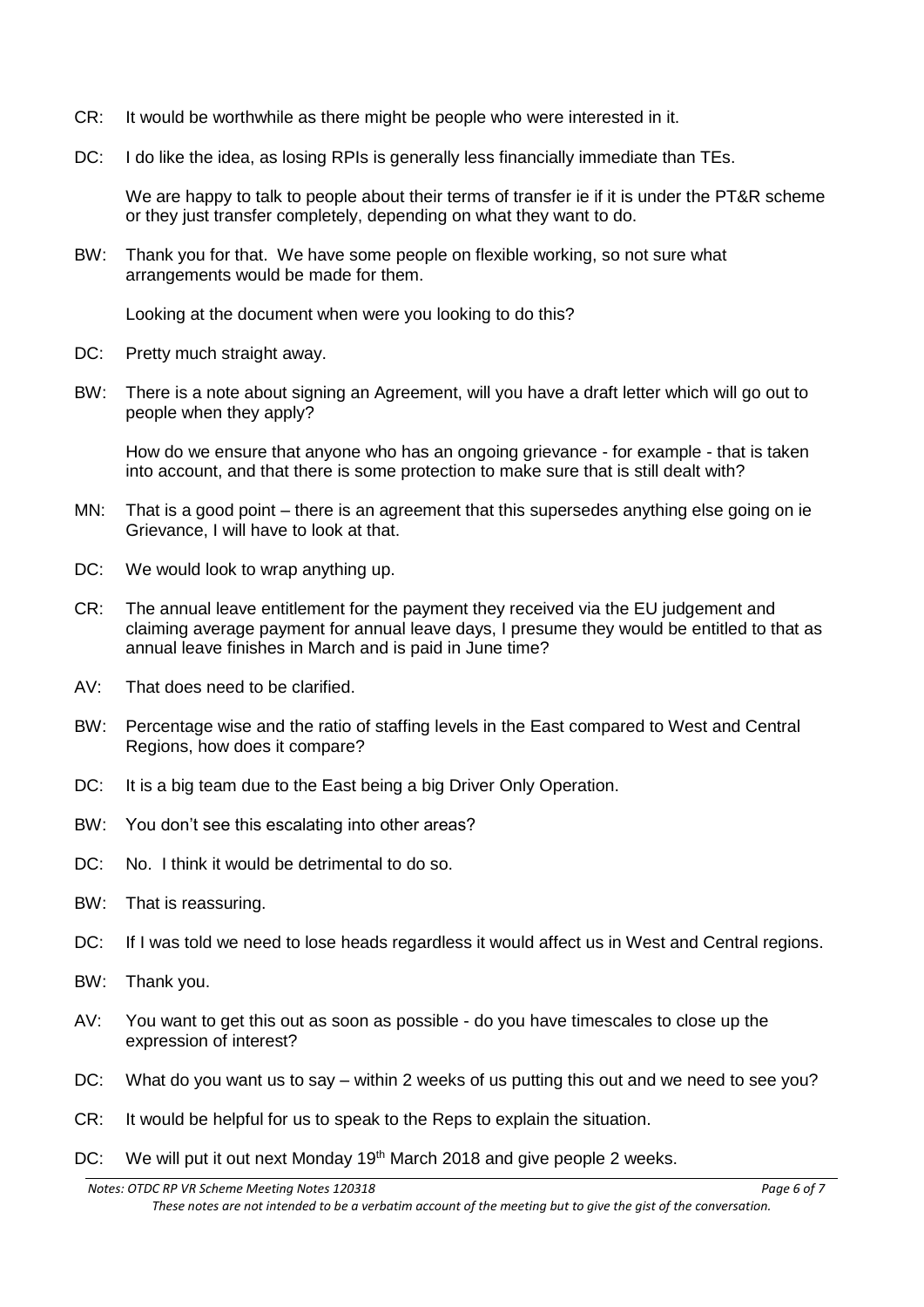- CR: It would be worthwhile as there might be people who were interested in it.
- DC: I do like the idea, as losing RPIs is generally less financially immediate than TEs.

We are happy to talk to people about their terms of transfer ie if it is under the PT&R scheme or they just transfer completely, depending on what they want to do.

BW: Thank you for that. We have some people on flexible working, so not sure what arrangements would be made for them.

Looking at the document when were you looking to do this?

- DC: Pretty much straight away.
- BW: There is a note about signing an Agreement, will you have a draft letter which will go out to people when they apply?

How do we ensure that anyone who has an ongoing grievance - for example - that is taken into account, and that there is some protection to make sure that is still dealt with?

- MN: That is a good point there is an agreement that this supersedes anything else going on ie Grievance, I will have to look at that.
- DC: We would look to wrap anything up.
- CR: The annual leave entitlement for the payment they received via the EU judgement and claiming average payment for annual leave days, I presume they would be entitled to that as annual leave finishes in March and is paid in June time?
- AV: That does need to be clarified.
- BW: Percentage wise and the ratio of staffing levels in the East compared to West and Central Regions, how does it compare?
- DC: It is a big team due to the East being a big Driver Only Operation.
- BW: You don't see this escalating into other areas?
- DC: No. I think it would be detrimental to do so.
- BW: That is reassuring.
- DC: If I was told we need to lose heads regardless it would affect us in West and Central regions.
- BW: Thank you.
- AV: You want to get this out as soon as possible do you have timescales to close up the expression of interest?
- DC: What do you want us to say within 2 weeks of us putting this out and we need to see you?
- CR: It would be helpful for us to speak to the Reps to explain the situation.
- DC: We will put it out next Monday 19<sup>th</sup> March 2018 and give people 2 weeks.